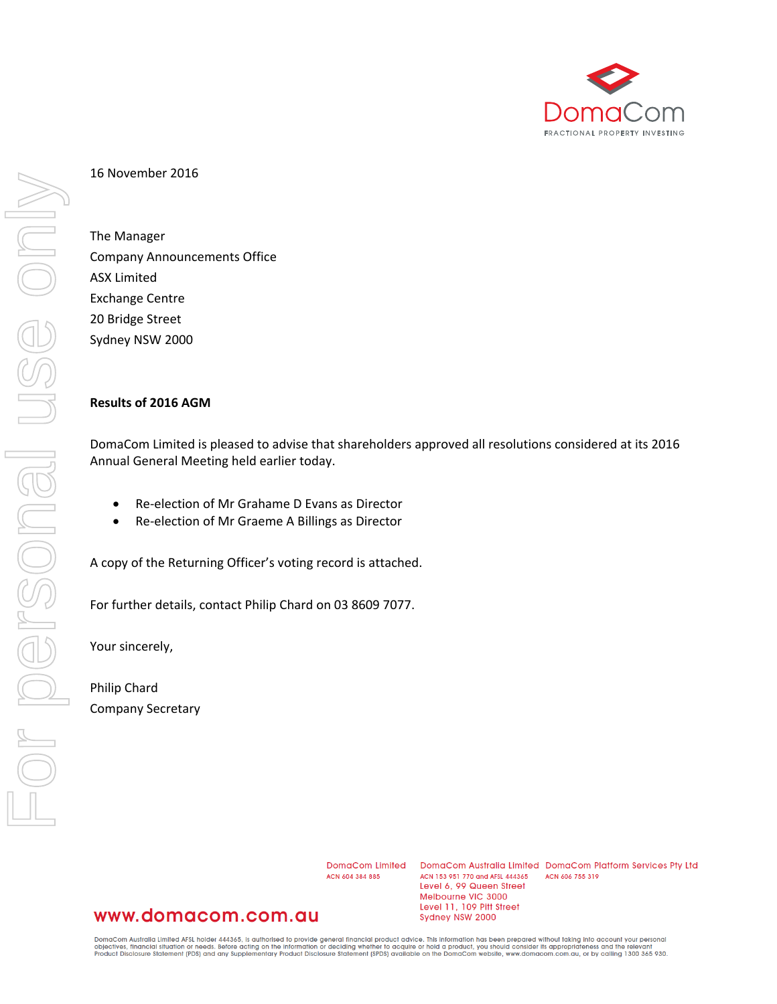

## 16 November 2016

The Manager Company Announcements Office ASX Limited Exchange Centre 20 Bridge Street Sydney NSW 2000

## **Results of 2016 AGM**

DomaCom Limited is pleased to advise that shareholders approved all resolutions considered at its 2016 Annual General Meeting held earlier today.

- Re-election of Mr Grahame D Evans as Director
- Re-election of Mr Graeme A Billings as Director

A copy of the Returning Officer's voting record is attached.

For further details, contact Philip Chard on 03 8609 7077.

Your sincerely,

Philip Chard Company Secretary

> DomgCom Limited ACN 604 384 885

DomaCom Australia Limited DomaCom Platform Services Pty Ltd ACN 153 951 770 and AFSL 444365 ACN 606 755 319 Level 6, 99 Queen Street Melbourne VIC 3000 Level 11, 109 Pitt Street Sydney NSW 2000

## www.domacom.com.au

DomaCom Australia Limited AFSL holder 444365, is authorised to provide general financial product advice. This information has been prepared without taking into account your personal<br>objectives, financial situation or needs